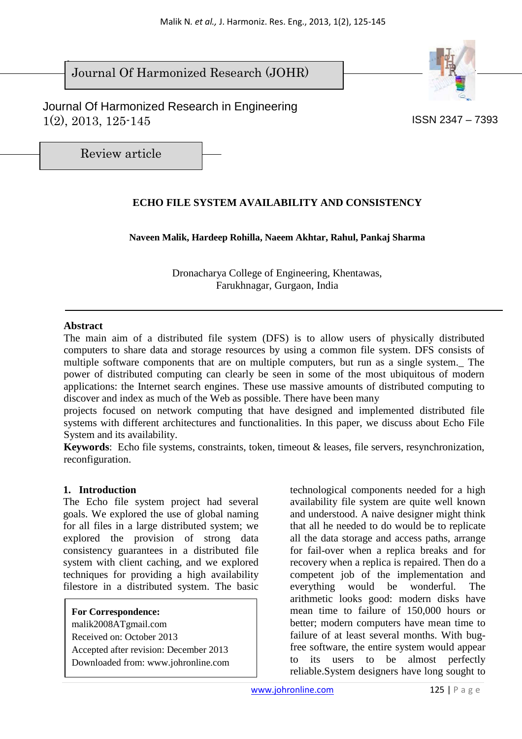$\overline{\phantom{a}}$ Journal Of Harmonized Research (JOHR)





Review article

# **ECHO FILE SYSTEM AVAILABILITY AND CONSISTENCY**

**Naveen Malik, Hardeep Rohilla, Naeem Akhtar, Rahul, Pankaj Sharma** 

Dronacharya College of Engineering, Khentawas, Farukhnagar, Gurgaon, India

#### **Abstract**

The main aim of a distributed file system (DFS) is to allow users of physically distributed computers to share data and storage resources by using a common file system. DFS consists of multiple software components that are on multiple computers, but run as a single system.\_ The power of distributed computing can clearly be seen in some of the most ubiquitous of modern applications: the Internet search engines. These use massive amounts of distributed computing to discover and index as much of the Web as possible. There have been many

projects focused on network computing that have designed and implemented distributed file systems with different architectures and functionalities. In this paper, we discuss about Echo File System and its availability.

**Keywords**: Echo file systems, constraints, token, timeout & leases, file servers, resynchronization, reconfiguration.

#### **1. Introduction**

The Echo file system project had several goals. We explored the use of global naming for all files in a large distributed system; we explored the provision of strong data consistency guarantees in a distributed file system with client caching, and we explored techniques for providing a high availability filestore in a distributed system. The basic

**For Correspondence:**  malik2008ATgmail.com Received on: October 2013 Accepted after revision: December 2013 Downloaded from: www.johronline.com

technological components needed for a high availability file system are quite well known and understood. A naive designer might think that all he needed to do would be to replicate all the data storage and access paths, arrange for fail-over when a replica breaks and for recovery when a replica is repaired. Then do a competent job of the implementation and everything would be wonderful. The arithmetic looks good: modern disks have mean time to failure of 150,000 hours or better; modern computers have mean time to failure of at least several months. With bugfree software, the entire system would appear to its users to be almost perfectly reliable.System designers have long sought to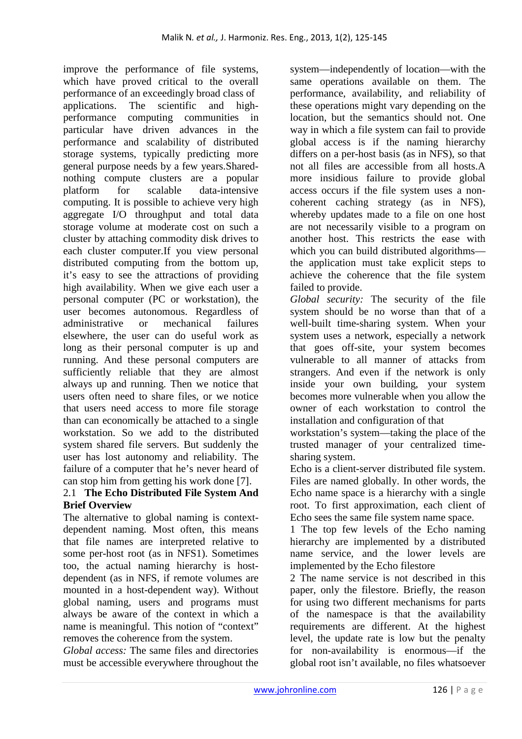improve the performance of file systems, which have proved critical to the overall performance of an exceedingly broad class of applications. The scientific and highperformance computing communities in particular have driven advances in the performance and scalability of distributed storage systems, typically predicting more general purpose needs by a few years.Sharednothing compute clusters are a popular platform for scalable data-intensive computing. It is possible to achieve very high aggregate I/O throughput and total data storage volume at moderate cost on such a cluster by attaching commodity disk drives to each cluster computer.If you view personal distributed computing from the bottom up, it's easy to see the attractions of providing high availability. When we give each user a personal computer (PC or workstation), the user becomes autonomous. Regardless of administrative or mechanical failures elsewhere, the user can do useful work as long as their personal computer is up and running. And these personal computers are sufficiently reliable that they are almost always up and running. Then we notice that users often need to share files, or we notice that users need access to more file storage than can economically be attached to a single workstation. So we add to the distributed system shared file servers. But suddenly the user has lost autonomy and reliability. The failure of a computer that he's never heard of can stop him from getting his work done [7].

# 2.1 **The Echo Distributed File System And Brief Overview**

The alternative to global naming is contextdependent naming. Most often, this means that file names are interpreted relative to some per-host root (as in NFS1). Sometimes too, the actual naming hierarchy is hostdependent (as in NFS, if remote volumes are mounted in a host-dependent way). Without global naming, users and programs must always be aware of the context in which a name is meaningful. This notion of "context" removes the coherence from the system.

*Global access:* The same files and directories must be accessible everywhere throughout the

system—independently of location—with the same operations available on them. The performance, availability, and reliability of these operations might vary depending on the location, but the semantics should not. One way in which a file system can fail to provide global access is if the naming hierarchy differs on a per-host basis (as in NFS), so that not all files are accessible from all hosts.A more insidious failure to provide global access occurs if the file system uses a noncoherent caching strategy (as in NFS), whereby updates made to a file on one host are not necessarily visible to a program on another host. This restricts the ease with which you can build distributed algorithms the application must take explicit steps to achieve the coherence that the file system failed to provide.

*Global security:* The security of the file system should be no worse than that of a well-built time-sharing system. When your system uses a network, especially a network that goes off-site, your system becomes vulnerable to all manner of attacks from strangers. And even if the network is only inside your own building, your system becomes more vulnerable when you allow the owner of each workstation to control the installation and configuration of that

workstation's system—taking the place of the trusted manager of your centralized timesharing system.

Echo is a client-server distributed file system. Files are named globally. In other words, the Echo name space is a hierarchy with a single root. To first approximation, each client of Echo sees the same file system name space.

1 The top few levels of the Echo naming hierarchy are implemented by a distributed name service, and the lower levels are implemented by the Echo filestore

2 The name service is not described in this paper, only the filestore. Briefly, the reason for using two different mechanisms for parts of the namespace is that the availability requirements are different. At the highest level, the update rate is low but the penalty for non-availability is enormous—if the global root isn't available, no files whatsoever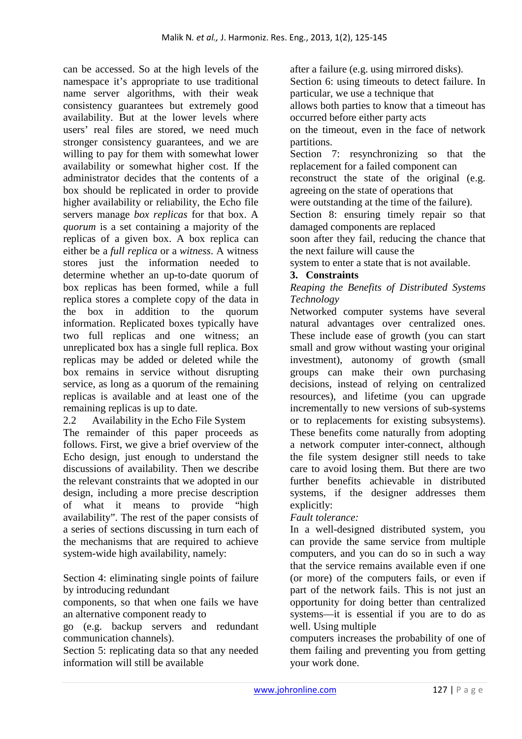can be accessed. So at the high levels of the namespace it's appropriate to use traditional name server algorithms, with their weak consistency guarantees but extremely good availability. But at the lower levels where users' real files are stored, we need much stronger consistency guarantees, and we are willing to pay for them with somewhat lower availability or somewhat higher cost. If the administrator decides that the contents of a box should be replicated in order to provide higher availability or reliability, the Echo file servers manage *box replicas* for that box. A *quorum* is a set containing a majority of the replicas of a given box. A box replica can either be a *full replica* or a *witness*. A witness stores just the information needed to determine whether an up-to-date quorum of box replicas has been formed, while a full replica stores a complete copy of the data in the box in addition to the quorum information. Replicated boxes typically have two full replicas and one witness; an unreplicated box has a single full replica. Box replicas may be added or deleted while the box remains in service without disrupting service, as long as a quorum of the remaining replicas is available and at least one of the remaining replicas is up to date.

# 2.2 Availability in the Echo File System

The remainder of this paper proceeds as follows. First, we give a brief overview of the Echo design, just enough to understand the discussions of availability. Then we describe the relevant constraints that we adopted in our design, including a more precise description of what it means to provide "high availability". The rest of the paper consists of a series of sections discussing in turn each of the mechanisms that are required to achieve system-wide high availability, namely:

Section 4: eliminating single points of failure by introducing redundant

components, so that when one fails we have an alternative component ready to

go (e.g. backup servers and redundant communication channels).

Section 5: replicating data so that any needed information will still be available

after a failure (e.g. using mirrored disks). Section 6: using timeouts to detect failure. In particular, we use a technique that allows both parties to know that a timeout has occurred before either party acts

on the timeout, even in the face of network partitions.

Section 7: resynchronizing so that the replacement for a failed component can

reconstruct the state of the original (e.g. agreeing on the state of operations that

were outstanding at the time of the failure).

Section 8: ensuring timely repair so that damaged components are replaced

soon after they fail, reducing the chance that the next failure will cause the

system to enter a state that is not available.

#### **3. Constraints**

#### *Reaping the Benefits of Distributed Systems Technology*

Networked computer systems have several natural advantages over centralized ones. These include ease of growth (you can start small and grow without wasting your original investment), autonomy of growth (small groups can make their own purchasing decisions, instead of relying on centralized resources), and lifetime (you can upgrade incrementally to new versions of sub-systems or to replacements for existing subsystems). These benefits come naturally from adopting a network computer inter-connect, although the file system designer still needs to take care to avoid losing them. But there are two further benefits achievable in distributed systems, if the designer addresses them explicitly:

# *Fault tolerance:*

In a well-designed distributed system, you can provide the same service from multiple computers, and you can do so in such a way that the service remains available even if one (or more) of the computers fails, or even if part of the network fails. This is not just an opportunity for doing better than centralized systems—it is essential if you are to do as well. Using multiple

computers increases the probability of one of them failing and preventing you from getting your work done.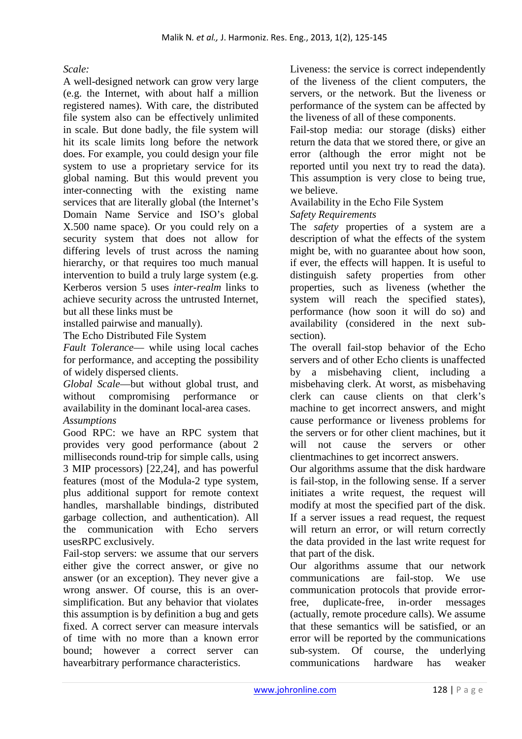# *Scale:*

A well-designed network can grow very large (e.g. the Internet, with about half a million registered names). With care, the distributed file system also can be effectively unlimited in scale. But done badly, the file system will hit its scale limits long before the network does. For example, you could design your file system to use a proprietary service for its global naming. But this would prevent you inter-connecting with the existing name services that are literally global (the Internet's Domain Name Service and ISO's global X.500 name space). Or you could rely on a security system that does not allow for differing levels of trust across the naming hierarchy, or that requires too much manual intervention to build a truly large system (e.g. Kerberos version 5 uses *inter-realm* links to achieve security across the untrusted Internet, but all these links must be

installed pairwise and manually).

The Echo Distributed File System

*Fault Tolerance*— while using local caches for performance, and accepting the possibility of widely dispersed clients.

*Global Scale*—but without global trust, and without compromising performance or availability in the dominant local-area cases. *Assumptions* 

Good RPC: we have an RPC system that provides very good performance (about 2 milliseconds round-trip for simple calls, using 3 MIP processors) [22,24], and has powerful features (most of the Modula-2 type system, plus additional support for remote context handles, marshallable bindings, distributed garbage collection, and authentication). All the communication with Echo servers usesRPC exclusively.

Fail-stop servers: we assume that our servers either give the correct answer, or give no answer (or an exception). They never give a wrong answer. Of course, this is an oversimplification. But any behavior that violates this assumption is by definition a bug and gets fixed. A correct server can measure intervals of time with no more than a known error bound; however a correct server can havearbitrary performance characteristics.

Liveness: the service is correct independently of the liveness of the client computers, the servers, or the network. But the liveness or performance of the system can be affected by the liveness of all of these components.

Fail-stop media: our storage (disks) either return the data that we stored there, or give an error (although the error might not be reported until you next try to read the data). This assumption is very close to being true, we believe.

Availability in the Echo File System *Safety Requirements* 

The *safety* properties of a system are a description of what the effects of the system might be, with no guarantee about how soon, if ever, the effects will happen. It is useful to distinguish safety properties from other properties, such as liveness (whether the system will reach the specified states), performance (how soon it will do so) and availability (considered in the next subsection).

The overall fail-stop behavior of the Echo servers and of other Echo clients is unaffected by a misbehaving client, including a misbehaving clerk. At worst, as misbehaving clerk can cause clients on that clerk's machine to get incorrect answers, and might cause performance or liveness problems for the servers or for other client machines, but it will not cause the servers or other clientmachines to get incorrect answers.

Our algorithms assume that the disk hardware is fail-stop, in the following sense. If a server initiates a write request, the request will modify at most the specified part of the disk. If a server issues a read request, the request will return an error, or will return correctly the data provided in the last write request for that part of the disk.

Our algorithms assume that our network communications are fail-stop. We use communication protocols that provide errorfree, duplicate-free, in-order messages (actually, remote procedure calls). We assume that these semantics will be satisfied, or an error will be reported by the communications sub-system. Of course, the underlying communications hardware has weaker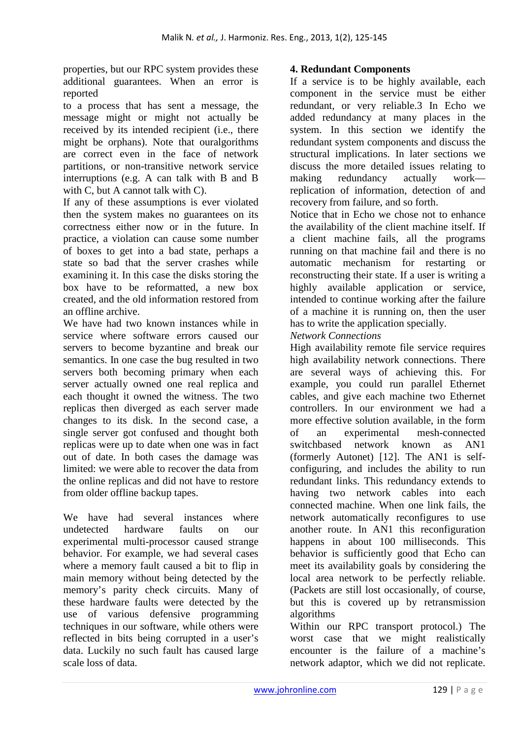properties, but our RPC system provides these additional guarantees. When an error is reported

to a process that has sent a message, the message might or might not actually be received by its intended recipient (i.e., there might be orphans). Note that ouralgorithms are correct even in the face of network partitions, or non-transitive network service interruptions (e.g. A can talk with B and B with C, but A cannot talk with C).

If any of these assumptions is ever violated then the system makes no guarantees on its correctness either now or in the future. In practice, a violation can cause some number of boxes to get into a bad state, perhaps a state so bad that the server crashes while examining it. In this case the disks storing the box have to be reformatted, a new box created, and the old information restored from an offline archive.

We have had two known instances while in service where software errors caused our servers to become byzantine and break our semantics. In one case the bug resulted in two servers both becoming primary when each server actually owned one real replica and each thought it owned the witness. The two replicas then diverged as each server made changes to its disk. In the second case, a single server got confused and thought both replicas were up to date when one was in fact out of date. In both cases the damage was limited: we were able to recover the data from the online replicas and did not have to restore from older offline backup tapes.

We have had several instances where undetected hardware faults on our experimental multi-processor caused strange behavior. For example, we had several cases where a memory fault caused a bit to flip in main memory without being detected by the memory's parity check circuits. Many of these hardware faults were detected by the use of various defensive programming techniques in our software, while others were reflected in bits being corrupted in a user's data. Luckily no such fault has caused large scale loss of data.

# **4. Redundant Components**

If a service is to be highly available, each component in the service must be either redundant, or very reliable.3 In Echo we added redundancy at many places in the system. In this section we identify the redundant system components and discuss the structural implications. In later sections we discuss the more detailed issues relating to making redundancy actually work replication of information, detection of and recovery from failure, and so forth.

Notice that in Echo we chose not to enhance the availability of the client machine itself. If a client machine fails, all the programs running on that machine fail and there is no automatic mechanism for restarting or reconstructing their state. If a user is writing a highly available application or service, intended to continue working after the failure of a machine it is running on, then the user has to write the application specially.

#### *Network Connections*

High availability remote file service requires high availability network connections. There are several ways of achieving this. For example, you could run parallel Ethernet cables, and give each machine two Ethernet controllers. In our environment we had a more effective solution available, in the form of an experimental mesh-connected switchbased network known as AN1 (formerly Autonet) [12]. The AN1 is selfconfiguring, and includes the ability to run redundant links. This redundancy extends to having two network cables into each connected machine. When one link fails, the network automatically reconfigures to use another route. In AN1 this reconfiguration happens in about 100 milliseconds. This behavior is sufficiently good that Echo can meet its availability goals by considering the local area network to be perfectly reliable. (Packets are still lost occasionally, of course, but this is covered up by retransmission algorithms

Within our RPC transport protocol.) The worst case that we might realistically encounter is the failure of a machine's network adaptor, which we did not replicate.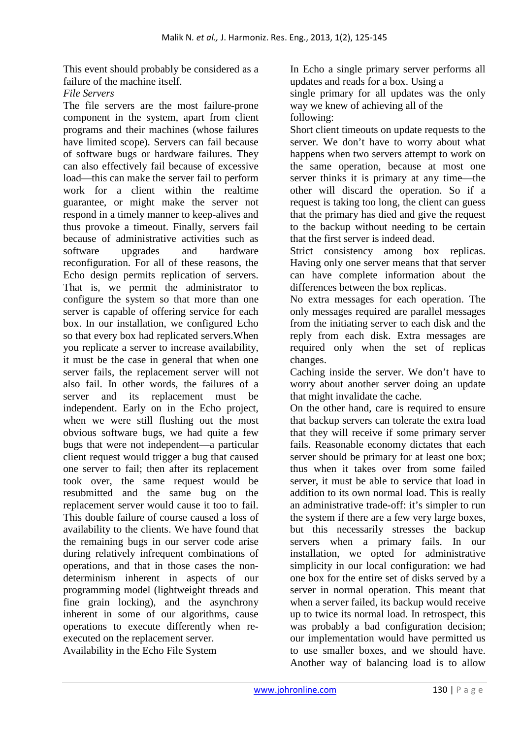This event should probably be considered as a failure of the machine itself.

#### *File Servers*

The file servers are the most failure-prone component in the system, apart from client programs and their machines (whose failures have limited scope). Servers can fail because of software bugs or hardware failures. They can also effectively fail because of excessive load—this can make the server fail to perform work for a client within the realtime guarantee, or might make the server not respond in a timely manner to keep-alives and thus provoke a timeout. Finally, servers fail because of administrative activities such as software upgrades and hardware reconfiguration. For all of these reasons, the Echo design permits replication of servers. That is, we permit the administrator to configure the system so that more than one server is capable of offering service for each box. In our installation, we configured Echo so that every box had replicated servers.When you replicate a server to increase availability, it must be the case in general that when one server fails, the replacement server will not also fail. In other words, the failures of a server and its replacement must be independent. Early on in the Echo project, when we were still flushing out the most obvious software bugs, we had quite a few bugs that were not independent—a particular client request would trigger a bug that caused one server to fail; then after its replacement took over, the same request would be resubmitted and the same bug on the replacement server would cause it too to fail. This double failure of course caused a loss of availability to the clients. We have found that the remaining bugs in our server code arise during relatively infrequent combinations of operations, and that in those cases the nondeterminism inherent in aspects of our programming model (lightweight threads and fine grain locking), and the asynchrony inherent in some of our algorithms, cause operations to execute differently when reexecuted on the replacement server.

Availability in the Echo File System

In Echo a single primary server performs all updates and reads for a box. Using a single primary for all updates was the only way we knew of achieving all of the following:

Short client timeouts on update requests to the server. We don't have to worry about what happens when two servers attempt to work on the same operation, because at most one server thinks it is primary at any time—the other will discard the operation. So if a request is taking too long, the client can guess that the primary has died and give the request to the backup without needing to be certain that the first server is indeed dead.

Strict consistency among box replicas. Having only one server means that that server can have complete information about the differences between the box replicas.

No extra messages for each operation. The only messages required are parallel messages from the initiating server to each disk and the reply from each disk. Extra messages are required only when the set of replicas changes.

Caching inside the server. We don't have to worry about another server doing an update that might invalidate the cache.

On the other hand, care is required to ensure that backup servers can tolerate the extra load that they will receive if some primary server fails. Reasonable economy dictates that each server should be primary for at least one box; thus when it takes over from some failed server, it must be able to service that load in addition to its own normal load. This is really an administrative trade-off: it's simpler to run the system if there are a few very large boxes, but this necessarily stresses the backup servers when a primary fails. In our installation, we opted for administrative simplicity in our local configuration: we had one box for the entire set of disks served by a server in normal operation. This meant that when a server failed, its backup would receive up to twice its normal load. In retrospect, this was probably a bad configuration decision; our implementation would have permitted us to use smaller boxes, and we should have. Another way of balancing load is to allow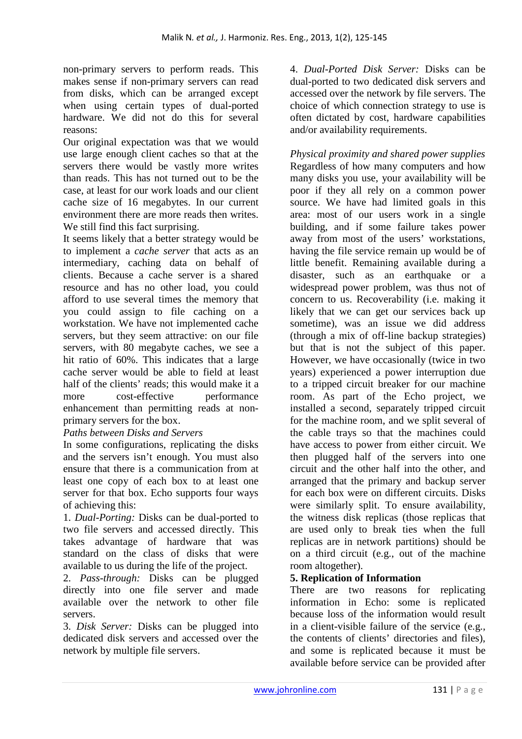non-primary servers to perform reads. This makes sense if non-primary servers can read from disks, which can be arranged except when using certain types of dual-ported hardware. We did not do this for several reasons:

Our original expectation was that we would use large enough client caches so that at the servers there would be vastly more writes than reads. This has not turned out to be the case, at least for our work loads and our client cache size of 16 megabytes. In our current environment there are more reads then writes. We still find this fact surprising.

It seems likely that a better strategy would be to implement a *cache server* that acts as an intermediary, caching data on behalf of clients. Because a cache server is a shared resource and has no other load, you could afford to use several times the memory that you could assign to file caching on a workstation. We have not implemented cache servers, but they seem attractive: on our file servers, with 80 megabyte caches, we see a hit ratio of 60%. This indicates that a large cache server would be able to field at least half of the clients' reads; this would make it a more cost-effective performance enhancement than permitting reads at nonprimary servers for the box.

# *Paths between Disks and Servers*

In some configurations, replicating the disks and the servers isn't enough. You must also ensure that there is a communication from at least one copy of each box to at least one server for that box. Echo supports four ways of achieving this:

1. *Dual-Porting:* Disks can be dual-ported to two file servers and accessed directly. This takes advantage of hardware that was standard on the class of disks that were available to us during the life of the project.

2. *Pass-through:* Disks can be plugged directly into one file server and made available over the network to other file servers.

3. *Disk Server:* Disks can be plugged into dedicated disk servers and accessed over the network by multiple file servers.

4. *Dual-Ported Disk Server:* Disks can be dual-ported to two dedicated disk servers and accessed over the network by file servers. The choice of which connection strategy to use is often dictated by cost, hardware capabilities and/or availability requirements.

*Physical proximity and shared power supplies*  Regardless of how many computers and how many disks you use, your availability will be poor if they all rely on a common power source. We have had limited goals in this area: most of our users work in a single building, and if some failure takes power away from most of the users' workstations, having the file service remain up would be of little benefit. Remaining available during a disaster, such as an earthquake or a widespread power problem, was thus not of concern to us. Recoverability (i.e. making it likely that we can get our services back up sometime), was an issue we did address (through a mix of off-line backup strategies) but that is not the subject of this paper. However, we have occasionally (twice in two years) experienced a power interruption due to a tripped circuit breaker for our machine room. As part of the Echo project, we installed a second, separately tripped circuit for the machine room, and we split several of the cable trays so that the machines could have access to power from either circuit. We then plugged half of the servers into one circuit and the other half into the other, and arranged that the primary and backup server for each box were on different circuits. Disks were similarly split. To ensure availability, the witness disk replicas (those replicas that are used only to break ties when the full replicas are in network partitions) should be on a third circuit (e.g., out of the machine room altogether).

# **5. Replication of Information**

There are two reasons for replicating information in Echo: some is replicated because loss of the information would result in a client-visible failure of the service (e.g., the contents of clients' directories and files), and some is replicated because it must be available before service can be provided after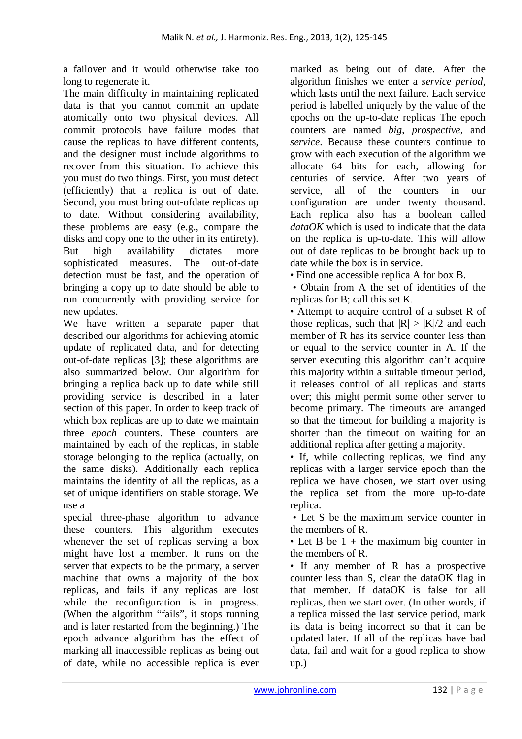a failover and it would otherwise take too long to regenerate it.

The main difficulty in maintaining replicated data is that you cannot commit an update atomically onto two physical devices. All commit protocols have failure modes that cause the replicas to have different contents, and the designer must include algorithms to recover from this situation. To achieve this you must do two things. First, you must detect (efficiently) that a replica is out of date. Second, you must bring out-ofdate replicas up to date. Without considering availability, these problems are easy (e.g., compare the disks and copy one to the other in its entirety). But high availability dictates more sophisticated measures. The out-of-date detection must be fast, and the operation of bringing a copy up to date should be able to run concurrently with providing service for new updates.

We have written a separate paper that described our algorithms for achieving atomic update of replicated data, and for detecting out-of-date replicas [3]; these algorithms are also summarized below. Our algorithm for bringing a replica back up to date while still providing service is described in a later section of this paper. In order to keep track of which box replicas are up to date we maintain three *epoch* counters. These counters are maintained by each of the replicas, in stable storage belonging to the replica (actually, on the same disks). Additionally each replica maintains the identity of all the replicas, as a set of unique identifiers on stable storage. We use a

special three-phase algorithm to advance these counters. This algorithm executes whenever the set of replicas serving a box might have lost a member. It runs on the server that expects to be the primary, a server machine that owns a majority of the box replicas, and fails if any replicas are lost while the reconfiguration is in progress. (When the algorithm "fails", it stops running and is later restarted from the beginning.) The epoch advance algorithm has the effect of marking all inaccessible replicas as being out of date, while no accessible replica is ever

marked as being out of date. After the algorithm finishes we enter a *service period,*  which lasts until the next failure. Each service period is labelled uniquely by the value of the epochs on the up-to-date replicas The epoch counters are named *big*, *prospective*, and *service*. Because these counters continue to grow with each execution of the algorithm we allocate 64 bits for each, allowing for centuries of service. After two years of service, all of the counters in our configuration are under twenty thousand. Each replica also has a boolean called *dataOK* which is used to indicate that the data on the replica is up-to-date. This will allow out of date replicas to be brought back up to date while the box is in service.

• Find one accessible replica A for box B.

 • Obtain from A the set of identities of the replicas for B; call this set K.

• Attempt to acquire control of a subset R of those replicas, such that  $|R| > |K|/2$  and each member of R has its service counter less than or equal to the service counter in A. If the server executing this algorithm can't acquire this majority within a suitable timeout period, it releases control of all replicas and starts over; this might permit some other server to become primary. The timeouts are arranged so that the timeout for building a majority is shorter than the timeout on waiting for an additional replica after getting a majority.

• If, while collecting replicas, we find any replicas with a larger service epoch than the replica we have chosen, we start over using the replica set from the more up-to-date replica.

 • Let S be the maximum service counter in the members of R.

• Let B be  $1 +$  the maximum big counter in the members of R.

• If any member of R has a prospective counter less than S, clear the dataOK flag in that member. If dataOK is false for all replicas, then we start over. (In other words, if a replica missed the last service period, mark its data is being incorrect so that it can be updated later. If all of the replicas have bad data, fail and wait for a good replica to show up.)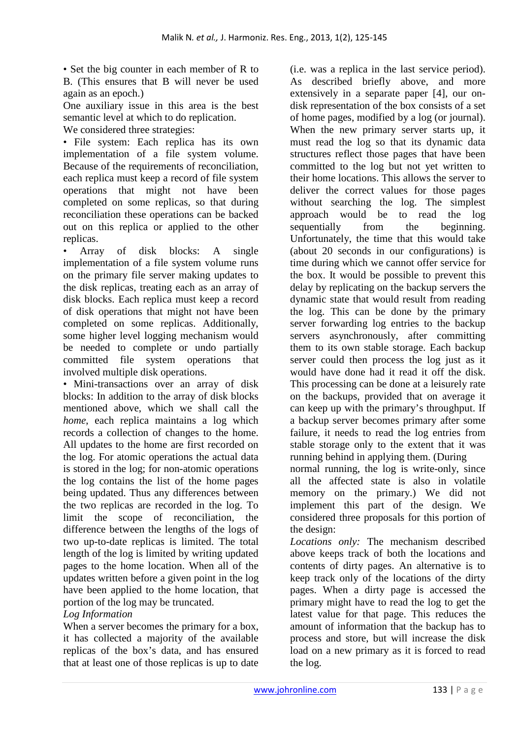• Set the big counter in each member of R to B. (This ensures that B will never be used again as an epoch.)

One auxiliary issue in this area is the best semantic level at which to do replication.

We considered three strategies: • File system: Each replica has its own

implementation of a file system volume. Because of the requirements of reconciliation, each replica must keep a record of file system operations that might not have been completed on some replicas, so that during reconciliation these operations can be backed out on this replica or applied to the other replicas.

• Array of disk blocks: A single implementation of a file system volume runs on the primary file server making updates to the disk replicas, treating each as an array of disk blocks. Each replica must keep a record of disk operations that might not have been completed on some replicas. Additionally, some higher level logging mechanism would be needed to complete or undo partially committed file system operations that involved multiple disk operations.

• Mini-transactions over an array of disk blocks: In addition to the array of disk blocks mentioned above, which we shall call the *home*, each replica maintains a log which records a collection of changes to the home. All updates to the home are first recorded on the log. For atomic operations the actual data is stored in the log; for non-atomic operations the log contains the list of the home pages being updated. Thus any differences between the two replicas are recorded in the log. To limit the scope of reconciliation, the difference between the lengths of the logs of two up-to-date replicas is limited. The total length of the log is limited by writing updated pages to the home location. When all of the updates written before a given point in the log have been applied to the home location, that portion of the log may be truncated.

# *Log Information*

When a server becomes the primary for a box, it has collected a majority of the available replicas of the box's data, and has ensured that at least one of those replicas is up to date

(i.e. was a replica in the last service period). As described briefly above, and more extensively in a separate paper [4], our ondisk representation of the box consists of a set of home pages, modified by a log (or journal). When the new primary server starts up, it must read the log so that its dynamic data structures reflect those pages that have been committed to the log but not yet written to their home locations. This allows the server to deliver the correct values for those pages without searching the log. The simplest approach would be to read the log sequentially from the beginning. Unfortunately, the time that this would take (about 20 seconds in our configurations) is time during which we cannot offer service for the box. It would be possible to prevent this delay by replicating on the backup servers the dynamic state that would result from reading the log. This can be done by the primary server forwarding log entries to the backup servers asynchronously, after committing them to its own stable storage. Each backup server could then process the log just as it would have done had it read it off the disk. This processing can be done at a leisurely rate on the backups, provided that on average it can keep up with the primary's throughput. If a backup server becomes primary after some failure, it needs to read the log entries from stable storage only to the extent that it was running behind in applying them. (During

normal running, the log is write-only, since all the affected state is also in volatile memory on the primary.) We did not implement this part of the design. We considered three proposals for this portion of the design:

*Locations only:* The mechanism described above keeps track of both the locations and contents of dirty pages. An alternative is to keep track only of the locations of the dirty pages. When a dirty page is accessed the primary might have to read the log to get the latest value for that page. This reduces the amount of information that the backup has to process and store, but will increase the disk load on a new primary as it is forced to read the log.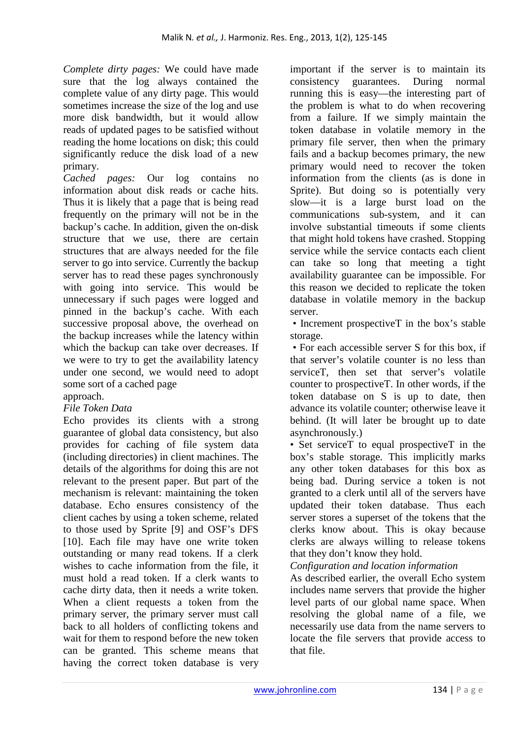*Complete dirty pages:* We could have made sure that the log always contained the complete value of any dirty page. This would sometimes increase the size of the log and use more disk bandwidth, but it would allow reads of updated pages to be satisfied without reading the home locations on disk; this could significantly reduce the disk load of a new primary.

*Cached pages:* Our log contains no information about disk reads or cache hits. Thus it is likely that a page that is being read frequently on the primary will not be in the backup's cache. In addition, given the on-disk structure that we use, there are certain structures that are always needed for the file server to go into service. Currently the backup server has to read these pages synchronously with going into service. This would be unnecessary if such pages were logged and pinned in the backup's cache. With each successive proposal above, the overhead on the backup increases while the latency within which the backup can take over decreases. If we were to try to get the availability latency under one second, we would need to adopt some sort of a cached page

# approach.

# *File Token Data*

Echo provides its clients with a strong guarantee of global data consistency, but also provides for caching of file system data (including directories) in client machines. The details of the algorithms for doing this are not relevant to the present paper. But part of the mechanism is relevant: maintaining the token database. Echo ensures consistency of the client caches by using a token scheme, related to those used by Sprite [9] and OSF's DFS [10]. Each file may have one write token outstanding or many read tokens. If a clerk wishes to cache information from the file, it must hold a read token. If a clerk wants to cache dirty data, then it needs a write token. When a client requests a token from the primary server, the primary server must call back to all holders of conflicting tokens and wait for them to respond before the new token can be granted. This scheme means that having the correct token database is very

important if the server is to maintain its consistency guarantees. During normal running this is easy—the interesting part of the problem is what to do when recovering from a failure. If we simply maintain the token database in volatile memory in the primary file server, then when the primary fails and a backup becomes primary, the new primary would need to recover the token information from the clients (as is done in Sprite). But doing so is potentially very slow—it is a large burst load on the communications sub-system, and it can involve substantial timeouts if some clients that might hold tokens have crashed. Stopping service while the service contacts each client can take so long that meeting a tight availability guarantee can be impossible. For this reason we decided to replicate the token database in volatile memory in the backup server.

• Increment prospectiveT in the box's stable storage.

 • For each accessible server S for this box, if that server's volatile counter is no less than serviceT, then set that server's volatile counter to prospectiveT. In other words, if the token database on S is up to date, then advance its volatile counter; otherwise leave it behind. (It will later be brought up to date asynchronously.)

• Set serviceT to equal prospectiveT in the box's stable storage. This implicitly marks any other token databases for this box as being bad. During service a token is not granted to a clerk until all of the servers have updated their token database. Thus each server stores a superset of the tokens that the clerks know about. This is okay because clerks are always willing to release tokens that they don't know they hold.

*Configuration and location information* 

As described earlier, the overall Echo system includes name servers that provide the higher level parts of our global name space. When resolving the global name of a file, we necessarily use data from the name servers to locate the file servers that provide access to that file.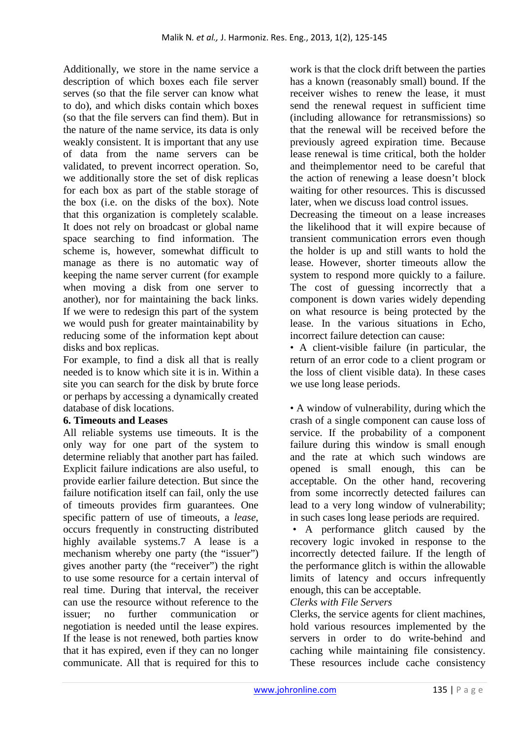Additionally, we store in the name service a description of which boxes each file server serves (so that the file server can know what to do), and which disks contain which boxes (so that the file servers can find them). But in the nature of the name service, its data is only weakly consistent. It is important that any use of data from the name servers can be validated, to prevent incorrect operation. So, we additionally store the set of disk replicas for each box as part of the stable storage of the box (i.e. on the disks of the box). Note that this organization is completely scalable. It does not rely on broadcast or global name space searching to find information. The scheme is, however, somewhat difficult to manage as there is no automatic way of keeping the name server current (for example when moving a disk from one server to another), nor for maintaining the back links. If we were to redesign this part of the system we would push for greater maintainability by reducing some of the information kept about disks and box replicas.

For example, to find a disk all that is really needed is to know which site it is in. Within a site you can search for the disk by brute force or perhaps by accessing a dynamically created database of disk locations.

# **6. Timeouts and Leases**

All reliable systems use timeouts. It is the only way for one part of the system to determine reliably that another part has failed. Explicit failure indications are also useful, to provide earlier failure detection. But since the failure notification itself can fail, only the use of timeouts provides firm guarantees. One specific pattern of use of timeouts, a *lease*, occurs frequently in constructing distributed highly available systems.7 A lease is a mechanism whereby one party (the "issuer") gives another party (the "receiver") the right to use some resource for a certain interval of real time. During that interval, the receiver can use the resource without reference to the issuer; no further communication or negotiation is needed until the lease expires. If the lease is not renewed, both parties know that it has expired, even if they can no longer communicate. All that is required for this to

work is that the clock drift between the parties has a known (reasonably small) bound. If the receiver wishes to renew the lease, it must send the renewal request in sufficient time (including allowance for retransmissions) so that the renewal will be received before the previously agreed expiration time. Because lease renewal is time critical, both the holder and theimplementor need to be careful that the action of renewing a lease doesn't block waiting for other resources. This is discussed later, when we discuss load control issues.

Decreasing the timeout on a lease increases the likelihood that it will expire because of transient communication errors even though the holder is up and still wants to hold the lease. However, shorter timeouts allow the system to respond more quickly to a failure. The cost of guessing incorrectly that a component is down varies widely depending on what resource is being protected by the lease. In the various situations in Echo, incorrect failure detection can cause:

• A client-visible failure (in particular, the return of an error code to a client program or the loss of client visible data). In these cases we use long lease periods.

• A window of vulnerability, during which the crash of a single component can cause loss of service. If the probability of a component failure during this window is small enough and the rate at which such windows are opened is small enough, this can be acceptable. On the other hand, recovering from some incorrectly detected failures can lead to a very long window of vulnerability; in such cases long lease periods are required.

 • A performance glitch caused by the recovery logic invoked in response to the incorrectly detected failure. If the length of the performance glitch is within the allowable limits of latency and occurs infrequently enough, this can be acceptable.

# *Clerks with File Servers*

Clerks, the service agents for client machines, hold various resources implemented by the servers in order to do write-behind and caching while maintaining file consistency. These resources include cache consistency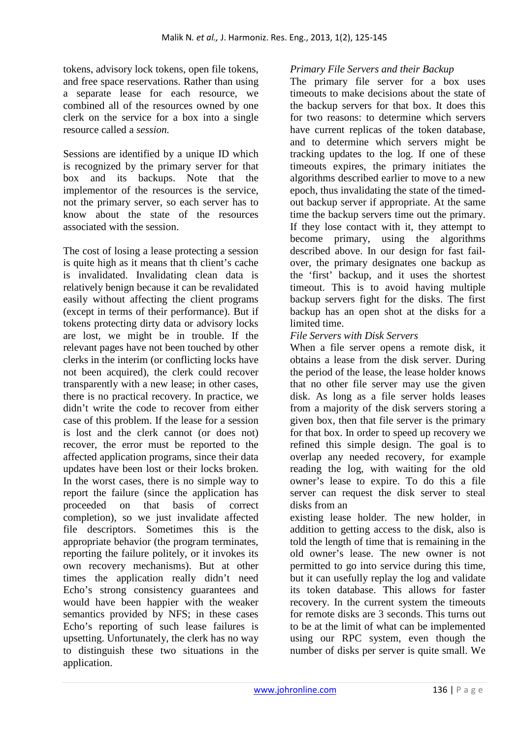tokens, advisory lock tokens, open file tokens, and free space reservations. Rather than using a separate lease for each resource, we combined all of the resources owned by one clerk on the service for a box into a single resource called a *session.*

Sessions are identified by a unique ID which is recognized by the primary server for that box and its backups. Note that the implementor of the resources is the service, not the primary server, so each server has to know about the state of the resources associated with the session.

The cost of losing a lease protecting a session is quite high as it means that th client's cache is invalidated. Invalidating clean data is relatively benign because it can be revalidated easily without affecting the client programs (except in terms of their performance). But if tokens protecting dirty data or advisory locks are lost, we might be in trouble. If the relevant pages have not been touched by other clerks in the interim (or conflicting locks have not been acquired), the clerk could recover transparently with a new lease; in other cases, there is no practical recovery. In practice, we didn't write the code to recover from either case of this problem. If the lease for a session is lost and the clerk cannot (or does not) recover, the error must be reported to the affected application programs, since their data updates have been lost or their locks broken. In the worst cases, there is no simple way to report the failure (since the application has proceeded on that basis of correct completion), so we just invalidate affected file descriptors. Sometimes this is the appropriate behavior (the program terminates, reporting the failure politely, or it invokes its own recovery mechanisms). But at other times the application really didn't need Echo's strong consistency guarantees and would have been happier with the weaker semantics provided by NFS; in these cases Echo's reporting of such lease failures is upsetting. Unfortunately, the clerk has no way to distinguish these two situations in the application.

#### *Primary File Servers and their Backup*

The primary file server for a box uses timeouts to make decisions about the state of the backup servers for that box. It does this for two reasons: to determine which servers have current replicas of the token database, and to determine which servers might be tracking updates to the log. If one of these timeouts expires, the primary initiates the algorithms described earlier to move to a new epoch, thus invalidating the state of the timedout backup server if appropriate. At the same time the backup servers time out the primary. If they lose contact with it, they attempt to become primary, using the algorithms described above. In our design for fast failover, the primary designates one backup as the 'first' backup, and it uses the shortest timeout. This is to avoid having multiple backup servers fight for the disks. The first backup has an open shot at the disks for a limited time.

#### *File Servers with Disk Servers*

When a file server opens a remote disk, it obtains a lease from the disk server. During the period of the lease, the lease holder knows that no other file server may use the given disk. As long as a file server holds leases from a majority of the disk servers storing a given box, then that file server is the primary for that box. In order to speed up recovery we refined this simple design. The goal is to overlap any needed recovery, for example reading the log, with waiting for the old owner's lease to expire. To do this a file server can request the disk server to steal disks from an

existing lease holder. The new holder, in addition to getting access to the disk, also is told the length of time that is remaining in the old owner's lease. The new owner is not permitted to go into service during this time, but it can usefully replay the log and validate its token database. This allows for faster recovery. In the current system the timeouts for remote disks are 3 seconds. This turns out to be at the limit of what can be implemented using our RPC system, even though the number of disks per server is quite small. We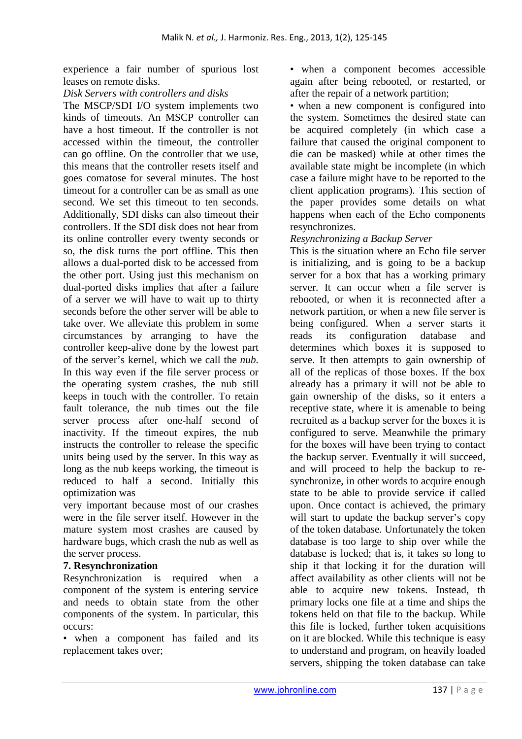experience a fair number of spurious lost leases on remote disks.

#### *Disk Servers with controllers and disks*

The MSCP/SDI I/O system implements two kinds of timeouts. An MSCP controller can have a host timeout. If the controller is not accessed within the timeout, the controller can go offline. On the controller that we use, this means that the controller resets itself and goes comatose for several minutes. The host timeout for a controller can be as small as one second. We set this timeout to ten seconds. Additionally, SDI disks can also timeout their controllers. If the SDI disk does not hear from its online controller every twenty seconds or so, the disk turns the port offline. This then allows a dual-ported disk to be accessed from the other port. Using just this mechanism on dual-ported disks implies that after a failure of a server we will have to wait up to thirty seconds before the other server will be able to take over. We alleviate this problem in some circumstances by arranging to have the controller keep-alive done by the lowest part of the server's kernel, which we call the *nub*. In this way even if the file server process or the operating system crashes, the nub still keeps in touch with the controller. To retain fault tolerance, the nub times out the file server process after one-half second of inactivity. If the timeout expires, the nub instructs the controller to release the specific units being used by the server. In this way as long as the nub keeps working, the timeout is reduced to half a second. Initially this optimization was

very important because most of our crashes were in the file server itself. However in the mature system most crashes are caused by hardware bugs, which crash the nub as well as the server process.

#### **7. Resynchronization**

Resynchronization is required when a component of the system is entering service and needs to obtain state from the other components of the system. In particular, this occurs:

• when a component has failed and its replacement takes over;

• when a component becomes accessible again after being rebooted, or restarted, or after the repair of a network partition;

• when a new component is configured into the system. Sometimes the desired state can be acquired completely (in which case a failure that caused the original component to die can be masked) while at other times the available state might be incomplete (in which case a failure might have to be reported to the client application programs). This section of the paper provides some details on what happens when each of the Echo components resynchronizes.

#### *Resynchronizing a Backup Server*

This is the situation where an Echo file server is initializing, and is going to be a backup server for a box that has a working primary server. It can occur when a file server is rebooted, or when it is reconnected after a network partition, or when a new file server is being configured. When a server starts it reads its configuration database and determines which boxes it is supposed to serve. It then attempts to gain ownership of all of the replicas of those boxes. If the box already has a primary it will not be able to gain ownership of the disks, so it enters a receptive state, where it is amenable to being recruited as a backup server for the boxes it is configured to serve. Meanwhile the primary for the boxes will have been trying to contact the backup server. Eventually it will succeed, and will proceed to help the backup to resynchronize, in other words to acquire enough state to be able to provide service if called upon. Once contact is achieved, the primary will start to update the backup server's copy of the token database. Unfortunately the token database is too large to ship over while the database is locked; that is, it takes so long to ship it that locking it for the duration will affect availability as other clients will not be able to acquire new tokens. Instead, th primary locks one file at a time and ships the tokens held on that file to the backup. While this file is locked, further token acquisitions on it are blocked. While this technique is easy to understand and program, on heavily loaded servers, shipping the token database can take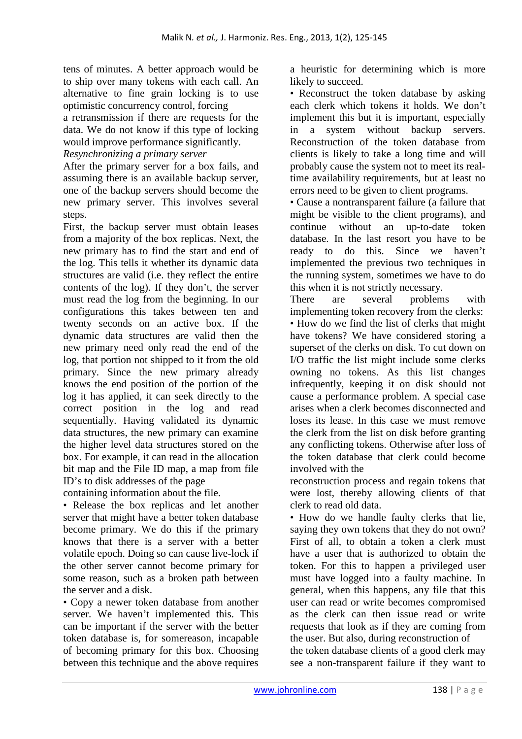tens of minutes. A better approach would be to ship over many tokens with each call. An alternative to fine grain locking is to use optimistic concurrency control, forcing

a retransmission if there are requests for the data. We do not know if this type of locking would improve performance significantly.

*Resynchronizing a primary server* 

After the primary server for a box fails, and assuming there is an available backup server, one of the backup servers should become the new primary server. This involves several steps.

First, the backup server must obtain leases from a majority of the box replicas. Next, the new primary has to find the start and end of the log. This tells it whether its dynamic data structures are valid (i.e. they reflect the entire contents of the log). If they don't, the server must read the log from the beginning. In our configurations this takes between ten and twenty seconds on an active box. If the dynamic data structures are valid then the new primary need only read the end of the log, that portion not shipped to it from the old primary. Since the new primary already knows the end position of the portion of the log it has applied, it can seek directly to the correct position in the log and read sequentially. Having validated its dynamic data structures, the new primary can examine the higher level data structures stored on the box. For example, it can read in the allocation bit map and the File ID map, a map from file ID's to disk addresses of the page

containing information about the file.

• Release the box replicas and let another server that might have a better token database become primary. We do this if the primary knows that there is a server with a better volatile epoch. Doing so can cause live-lock if the other server cannot become primary for some reason, such as a broken path between the server and a disk.

• Copy a newer token database from another server. We haven't implemented this. This can be important if the server with the better token database is, for somereason, incapable of becoming primary for this box. Choosing between this technique and the above requires

a heuristic for determining which is more likely to succeed.

• Reconstruct the token database by asking each clerk which tokens it holds. We don't implement this but it is important, especially in a system without backup servers. Reconstruction of the token database from clients is likely to take a long time and will probably cause the system not to meet its realtime availability requirements, but at least no errors need to be given to client programs.

• Cause a nontransparent failure (a failure that might be visible to the client programs), and continue without an up-to-date token database. In the last resort you have to be ready to do this. Since we haven't implemented the previous two techniques in the running system, sometimes we have to do this when it is not strictly necessary.

There are several problems with implementing token recovery from the clerks: • How do we find the list of clerks that might have tokens? We have considered storing a superset of the clerks on disk. To cut down on I/O traffic the list might include some clerks owning no tokens. As this list changes infrequently, keeping it on disk should not cause a performance problem. A special case arises when a clerk becomes disconnected and loses its lease. In this case we must remove the clerk from the list on disk before granting any conflicting tokens. Otherwise after loss of the token database that clerk could become involved with the

reconstruction process and regain tokens that were lost, thereby allowing clients of that clerk to read old data.

• How do we handle faulty clerks that lie, saying they own tokens that they do not own? First of all, to obtain a token a clerk must have a user that is authorized to obtain the token. For this to happen a privileged user must have logged into a faulty machine. In general, when this happens, any file that this user can read or write becomes compromised as the clerk can then issue read or write requests that look as if they are coming from the user. But also, during reconstruction of the token database clients of a good clerk may see a non-transparent failure if they want to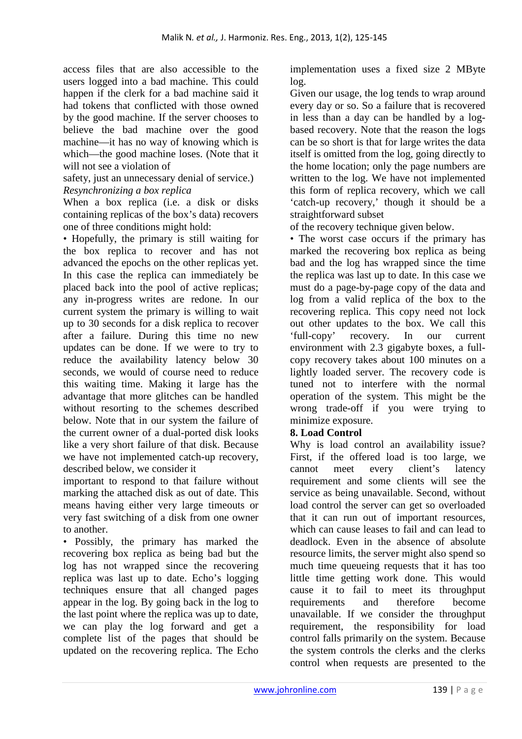access files that are also accessible to the users logged into a bad machine. This could happen if the clerk for a bad machine said it had tokens that conflicted with those owned by the good machine. If the server chooses to believe the bad machine over the good machine—it has no way of knowing which is which—the good machine loses. (Note that it will not see a violation of

safety, just an unnecessary denial of service.) *Resynchronizing a box replica* 

When a box replica (i.e. a disk or disks containing replicas of the box's data) recovers one of three conditions might hold:

• Hopefully, the primary is still waiting for the box replica to recover and has not advanced the epochs on the other replicas yet. In this case the replica can immediately be placed back into the pool of active replicas; any in-progress writes are redone. In our current system the primary is willing to wait up to 30 seconds for a disk replica to recover after a failure. During this time no new updates can be done. If we were to try to reduce the availability latency below 30 seconds, we would of course need to reduce this waiting time. Making it large has the advantage that more glitches can be handled without resorting to the schemes described below. Note that in our system the failure of the current owner of a dual-ported disk looks like a very short failure of that disk. Because we have not implemented catch-up recovery, described below, we consider it

important to respond to that failure without marking the attached disk as out of date. This means having either very large timeouts or very fast switching of a disk from one owner to another.

• Possibly, the primary has marked the recovering box replica as being bad but the log has not wrapped since the recovering replica was last up to date. Echo's logging techniques ensure that all changed pages appear in the log. By going back in the log to the last point where the replica was up to date, we can play the log forward and get a complete list of the pages that should be updated on the recovering replica. The Echo

implementation uses a fixed size 2 MByte log.

Given our usage, the log tends to wrap around every day or so. So a failure that is recovered in less than a day can be handled by a logbased recovery. Note that the reason the logs can be so short is that for large writes the data itself is omitted from the log, going directly to the home location; only the page numbers are written to the log. We have not implemented this form of replica recovery, which we call 'catch-up recovery,' though it should be a straightforward subset

of the recovery technique given below.

• The worst case occurs if the primary has marked the recovering box replica as being bad and the log has wrapped since the time the replica was last up to date. In this case we must do a page-by-page copy of the data and log from a valid replica of the box to the recovering replica. This copy need not lock out other updates to the box. We call this 'full-copy' recovery. In our current environment with 2.3 gigabyte boxes, a fullcopy recovery takes about 100 minutes on a lightly loaded server. The recovery code is tuned not to interfere with the normal operation of the system. This might be the wrong trade-off if you were trying to minimize exposure.

# **8. Load Control**

Why is load control an availability issue? First, if the offered load is too large, we cannot meet every client's latency requirement and some clients will see the service as being unavailable. Second, without load control the server can get so overloaded that it can run out of important resources, which can cause leases to fail and can lead to deadlock. Even in the absence of absolute resource limits, the server might also spend so much time queueing requests that it has too little time getting work done. This would cause it to fail to meet its throughput requirements and therefore become unavailable. If we consider the throughput requirement, the responsibility for load control falls primarily on the system. Because the system controls the clerks and the clerks control when requests are presented to the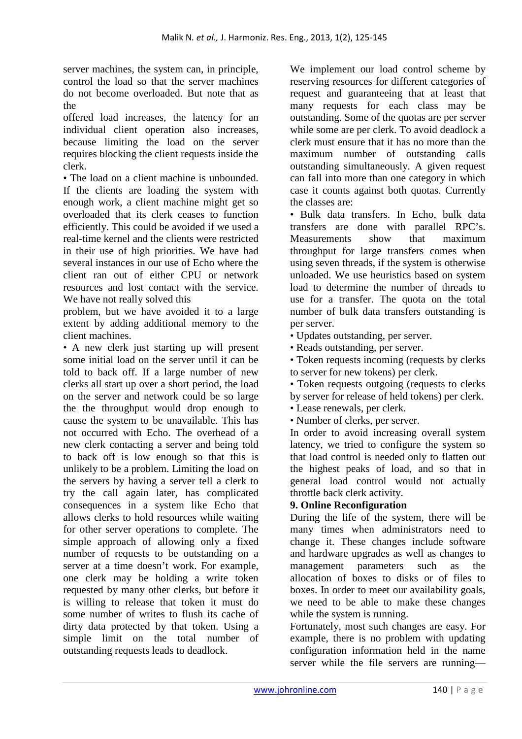server machines, the system can, in principle, control the load so that the server machines do not become overloaded. But note that as the

offered load increases, the latency for an individual client operation also increases, because limiting the load on the server requires blocking the client requests inside the clerk.

• The load on a client machine is unbounded. If the clients are loading the system with enough work, a client machine might get so overloaded that its clerk ceases to function efficiently. This could be avoided if we used a real-time kernel and the clients were restricted in their use of high priorities. We have had several instances in our use of Echo where the client ran out of either CPU or network resources and lost contact with the service. We have not really solved this

problem, but we have avoided it to a large extent by adding additional memory to the client machines.

• A new clerk just starting up will present some initial load on the server until it can be told to back off. If a large number of new clerks all start up over a short period, the load on the server and network could be so large the the throughput would drop enough to cause the system to be unavailable. This has not occurred with Echo. The overhead of a new clerk contacting a server and being told to back off is low enough so that this is unlikely to be a problem. Limiting the load on the servers by having a server tell a clerk to try the call again later, has complicated consequences in a system like Echo that allows clerks to hold resources while waiting for other server operations to complete. The simple approach of allowing only a fixed number of requests to be outstanding on a server at a time doesn't work. For example, one clerk may be holding a write token requested by many other clerks, but before it is willing to release that token it must do some number of writes to flush its cache of dirty data protected by that token. Using a simple limit on the total number of outstanding requests leads to deadlock.

We implement our load control scheme by reserving resources for different categories of request and guaranteeing that at least that many requests for each class may be outstanding. Some of the quotas are per server while some are per clerk. To avoid deadlock a clerk must ensure that it has no more than the maximum number of outstanding calls outstanding simultaneously. A given request can fall into more than one category in which case it counts against both quotas. Currently the classes are:

• Bulk data transfers. In Echo, bulk data transfers are done with parallel RPC's. Measurements show that maximum throughput for large transfers comes when using seven threads, if the system is otherwise unloaded. We use heuristics based on system load to determine the number of threads to use for a transfer. The quota on the total number of bulk data transfers outstanding is per server.

• Updates outstanding, per server.

• Reads outstanding, per server.

• Token requests incoming (requests by clerks to server for new tokens) per clerk.

• Token requests outgoing (requests to clerks by server for release of held tokens) per clerk.

• Lease renewals, per clerk.

• Number of clerks, per server.

In order to avoid increasing overall system latency, we tried to configure the system so that load control is needed only to flatten out the highest peaks of load, and so that in general load control would not actually throttle back clerk activity.

# **9. Online Reconfiguration**

During the life of the system, there will be many times when administrators need to change it. These changes include software and hardware upgrades as well as changes to management parameters such as the allocation of boxes to disks or of files to boxes. In order to meet our availability goals, we need to be able to make these changes while the system is running.

Fortunately, most such changes are easy. For example, there is no problem with updating configuration information held in the name server while the file servers are running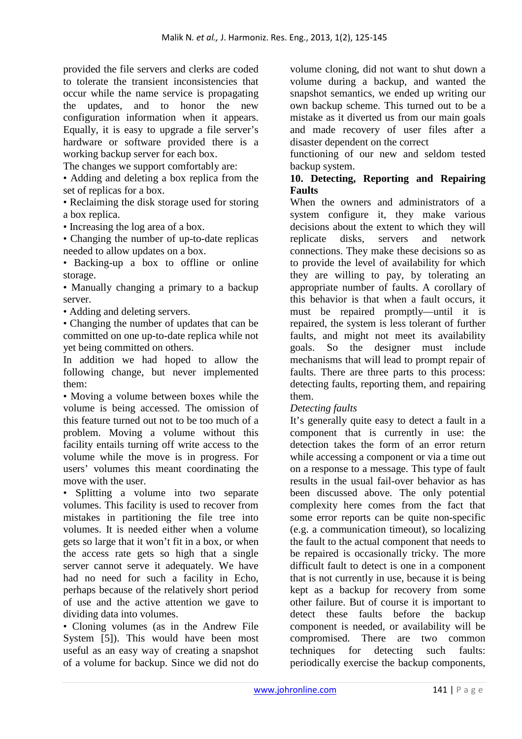provided the file servers and clerks are coded to tolerate the transient inconsistencies that occur while the name service is propagating the updates, and to honor the new configuration information when it appears. Equally, it is easy to upgrade a file server's hardware or software provided there is a working backup server for each box.

The changes we support comfortably are:

• Adding and deleting a box replica from the set of replicas for a box.

• Reclaiming the disk storage used for storing a box replica.

• Increasing the log area of a box.

• Changing the number of up-to-date replicas needed to allow updates on a box.

• Backing-up a box to offline or online storage.

• Manually changing a primary to a backup server.

• Adding and deleting servers.

• Changing the number of updates that can be committed on one up-to-date replica while not yet being committed on others.

In addition we had hoped to allow the following change, but never implemented them:

• Moving a volume between boxes while the volume is being accessed. The omission of this feature turned out not to be too much of a problem. Moving a volume without this facility entails turning off write access to the volume while the move is in progress. For users' volumes this meant coordinating the move with the user.

• Splitting a volume into two separate volumes. This facility is used to recover from mistakes in partitioning the file tree into volumes. It is needed either when a volume gets so large that it won't fit in a box, or when the access rate gets so high that a single server cannot serve it adequately. We have had no need for such a facility in Echo, perhaps because of the relatively short period of use and the active attention we gave to dividing data into volumes.

• Cloning volumes (as in the Andrew File System [5]). This would have been most useful as an easy way of creating a snapshot of a volume for backup. Since we did not do

volume cloning, did not want to shut down a volume during a backup, and wanted the snapshot semantics, we ended up writing our own backup scheme. This turned out to be a mistake as it diverted us from our main goals and made recovery of user files after a disaster dependent on the correct

functioning of our new and seldom tested backup system.

#### **10. Detecting, Reporting and Repairing Faults**

When the owners and administrators of a system configure it, they make various decisions about the extent to which they will replicate disks, servers and network connections. They make these decisions so as to provide the level of availability for which they are willing to pay, by tolerating an appropriate number of faults. A corollary of this behavior is that when a fault occurs, it must be repaired promptly—until it is repaired, the system is less tolerant of further faults, and might not meet its availability goals. So the designer must include mechanisms that will lead to prompt repair of faults. There are three parts to this process: detecting faults, reporting them, and repairing them.

# *Detecting faults*

It's generally quite easy to detect a fault in a component that is currently in use: the detection takes the form of an error return while accessing a component or via a time out on a response to a message. This type of fault results in the usual fail-over behavior as has been discussed above. The only potential complexity here comes from the fact that some error reports can be quite non-specific (e.g. a communication timeout), so localizing the fault to the actual component that needs to be repaired is occasionally tricky. The more difficult fault to detect is one in a component that is not currently in use, because it is being kept as a backup for recovery from some other failure. But of course it is important to detect these faults before the backup component is needed, or availability will be compromised. There are two common techniques for detecting such faults: periodically exercise the backup components,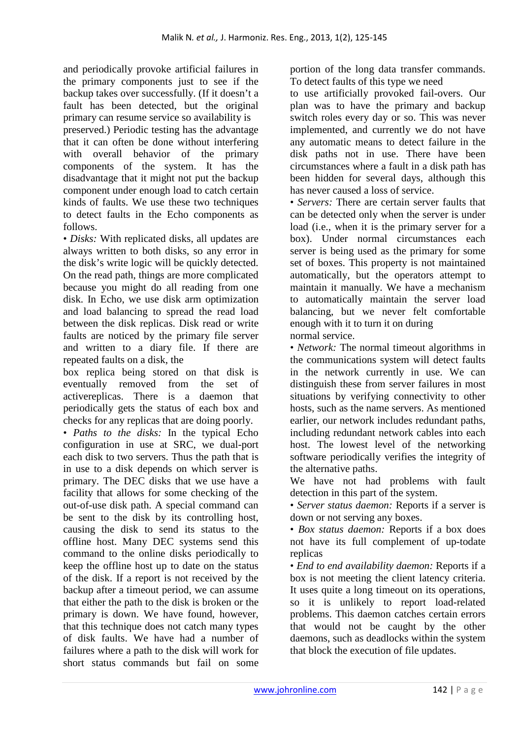and periodically provoke artificial failures in the primary components just to see if the backup takes over successfully. (If it doesn't a fault has been detected, but the original primary can resume service so availability is preserved.) Periodic testing has the advantage that it can often be done without interfering with overall behavior of the primary components of the system. It has the disadvantage that it might not put the backup component under enough load to catch certain kinds of faults. We use these two techniques to detect faults in the Echo components as follows.

• *Disks:* With replicated disks, all updates are always written to both disks, so any error in the disk's write logic will be quickly detected. On the read path, things are more complicated because you might do all reading from one disk. In Echo, we use disk arm optimization and load balancing to spread the read load between the disk replicas. Disk read or write faults are noticed by the primary file server and written to a diary file. If there are repeated faults on a disk, the

box replica being stored on that disk is eventually removed from the set of activereplicas. There is a daemon that periodically gets the status of each box and checks for any replicas that are doing poorly.

• *Paths to the disks:* In the typical Echo configuration in use at SRC, we dual-port each disk to two servers. Thus the path that is in use to a disk depends on which server is primary. The DEC disks that we use have a facility that allows for some checking of the out-of-use disk path. A special command can be sent to the disk by its controlling host, causing the disk to send its status to the offline host. Many DEC systems send this command to the online disks periodically to keep the offline host up to date on the status of the disk. If a report is not received by the backup after a timeout period, we can assume that either the path to the disk is broken or the primary is down. We have found, however, that this technique does not catch many types of disk faults. We have had a number of failures where a path to the disk will work for short status commands but fail on some

portion of the long data transfer commands. To detect faults of this type we need

to use artificially provoked fail-overs. Our plan was to have the primary and backup switch roles every day or so. This was never implemented, and currently we do not have any automatic means to detect failure in the disk paths not in use. There have been circumstances where a fault in a disk path has been hidden for several days, although this has never caused a loss of service.

• *Servers:* There are certain server faults that can be detected only when the server is under load (i.e., when it is the primary server for a box). Under normal circumstances each server is being used as the primary for some set of boxes. This property is not maintained automatically, but the operators attempt to maintain it manually. We have a mechanism to automatically maintain the server load balancing, but we never felt comfortable enough with it to turn it on during normal service.

• *Network:* The normal timeout algorithms in the communications system will detect faults in the network currently in use. We can distinguish these from server failures in most situations by verifying connectivity to other hosts, such as the name servers. As mentioned earlier, our network includes redundant paths, including redundant network cables into each host. The lowest level of the networking software periodically verifies the integrity of the alternative paths.

We have not had problems with fault detection in this part of the system.

• *Server status daemon:* Reports if a server is down or not serving any boxes.

• *Box status daemon:* Reports if a box does not have its full complement of up-todate replicas

• *End to end availability daemon:* Reports if a box is not meeting the client latency criteria. It uses quite a long timeout on its operations, so it is unlikely to report load-related problems. This daemon catches certain errors that would not be caught by the other daemons, such as deadlocks within the system that block the execution of file updates.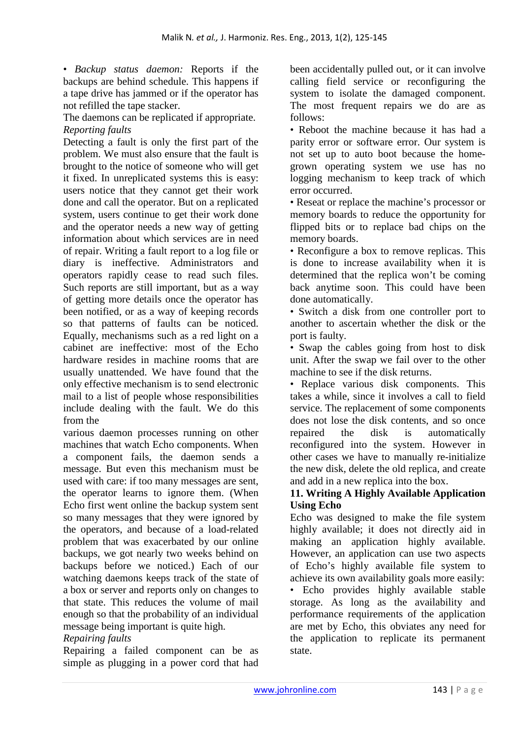• *Backup status daemon:* Reports if the backups are behind schedule. This happens if a tape drive has jammed or if the operator has not refilled the tape stacker.

The daemons can be replicated if appropriate. *Reporting faults* 

Detecting a fault is only the first part of the problem. We must also ensure that the fault is brought to the notice of someone who will get it fixed. In unreplicated systems this is easy: users notice that they cannot get their work done and call the operator. But on a replicated system, users continue to get their work done and the operator needs a new way of getting information about which services are in need of repair. Writing a fault report to a log file or diary is ineffective. Administrators and operators rapidly cease to read such files. Such reports are still important, but as a way of getting more details once the operator has been notified, or as a way of keeping records so that patterns of faults can be noticed. Equally, mechanisms such as a red light on a cabinet are ineffective: most of the Echo hardware resides in machine rooms that are usually unattended. We have found that the only effective mechanism is to send electronic mail to a list of people whose responsibilities include dealing with the fault. We do this from the

various daemon processes running on other machines that watch Echo components. When a component fails, the daemon sends a message. But even this mechanism must be used with care: if too many messages are sent, the operator learns to ignore them. (When Echo first went online the backup system sent so many messages that they were ignored by the operators, and because of a load-related problem that was exacerbated by our online backups, we got nearly two weeks behind on backups before we noticed.) Each of our watching daemons keeps track of the state of a box or server and reports only on changes to that state. This reduces the volume of mail enough so that the probability of an individual message being important is quite high.

#### *Repairing faults*

Repairing a failed component can be as simple as plugging in a power cord that had

been accidentally pulled out, or it can involve calling field service or reconfiguring the system to isolate the damaged component. The most frequent repairs we do are as follows:

• Reboot the machine because it has had a parity error or software error. Our system is not set up to auto boot because the homegrown operating system we use has no logging mechanism to keep track of which error occurred.

• Reseat or replace the machine's processor or memory boards to reduce the opportunity for flipped bits or to replace bad chips on the memory boards.

• Reconfigure a box to remove replicas. This is done to increase availability when it is determined that the replica won't be coming back anytime soon. This could have been done automatically.

• Switch a disk from one controller port to another to ascertain whether the disk or the port is faulty.

• Swap the cables going from host to disk unit. After the swap we fail over to the other machine to see if the disk returns.

• Replace various disk components. This takes a while, since it involves a call to field service. The replacement of some components does not lose the disk contents, and so once repaired the disk is automatically reconfigured into the system. However in other cases we have to manually re-initialize the new disk, delete the old replica, and create and add in a new replica into the box.

#### **11. Writing A Highly Available Application Using Echo**

Echo was designed to make the file system highly available; it does not directly aid in making an application highly available. However, an application can use two aspects of Echo's highly available file system to achieve its own availability goals more easily:

• Echo provides highly available stable storage. As long as the availability and performance requirements of the application are met by Echo, this obviates any need for the application to replicate its permanent state.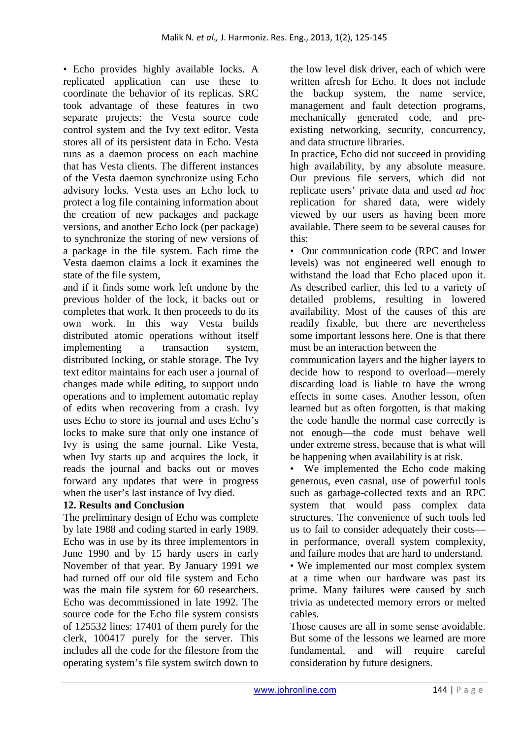• Echo provides highly available locks. A replicated application can use these to coordinate the behavior of its replicas. SRC took advantage of these features in two separate projects: the Vesta source code control system and the Ivy text editor. Vesta stores all of its persistent data in Echo. Vesta runs as a daemon process on each machine that has Vesta clients. The different instances of the Vesta daemon synchronize using Echo advisory locks. Vesta uses an Echo lock to protect a log file containing information about the creation of new packages and package versions, and another Echo lock (per package) to synchronize the storing of new versions of a package in the file system. Each time the Vesta daemon claims a lock it examines the state of the file system,

and if it finds some work left undone by the previous holder of the lock, it backs out or completes that work. It then proceeds to do its own work. In this way Vesta builds distributed atomic operations without itself implementing a transaction system, distributed locking, or stable storage. The Ivy text editor maintains for each user a journal of changes made while editing, to support undo operations and to implement automatic replay of edits when recovering from a crash. Ivy uses Echo to store its journal and uses Echo's locks to make sure that only one instance of Ivy is using the same journal. Like Vesta, when Ivy starts up and acquires the lock, it reads the journal and backs out or moves forward any updates that were in progress when the user's last instance of Ivy died.

# **12. Results and Conclusion**

The preliminary design of Echo was complete by late 1988 and coding started in early 1989. Echo was in use by its three implementors in June 1990 and by 15 hardy users in early November of that year. By January 1991 we had turned off our old file system and Echo was the main file system for 60 researchers. Echo was decommissioned in late 1992. The source code for the Echo file system consists of 125532 lines: 17401 of them purely for the clerk, 100417 purely for the server. This includes all the code for the filestore from the operating system's file system switch down to

the low level disk driver, each of which were written afresh for Echo. It does not include the backup system, the name service, management and fault detection programs, mechanically generated code, and preexisting networking, security, concurrency, and data structure libraries.

In practice, Echo did not succeed in providing high availability, by any absolute measure. Our previous file servers, which did not replicate users' private data and used *ad hoc*  replication for shared data, were widely viewed by our users as having been more available. There seem to be several causes for this:

• Our communication code (RPC and lower levels) was not engineered well enough to withstand the load that Echo placed upon it. As described earlier, this led to a variety of detailed problems, resulting in lowered availability. Most of the causes of this are readily fixable, but there are nevertheless some important lessons here. One is that there must be an interaction between the

communication layers and the higher layers to decide how to respond to overload—merely discarding load is liable to have the wrong effects in some cases. Another lesson, often learned but as often forgotten, is that making the code handle the normal case correctly is not enough—the code must behave well under extreme stress, because that is what will be happening when availability is at risk.

• We implemented the Echo code making generous, even casual, use of powerful tools such as garbage-collected texts and an RPC system that would pass complex data structures. The convenience of such tools led us to fail to consider adequately their costs in performance, overall system complexity, and failure modes that are hard to understand.

• We implemented our most complex system at a time when our hardware was past its prime. Many failures were caused by such trivia as undetected memory errors or melted cables.

Those causes are all in some sense avoidable. But some of the lessons we learned are more fundamental, and will require careful consideration by future designers.